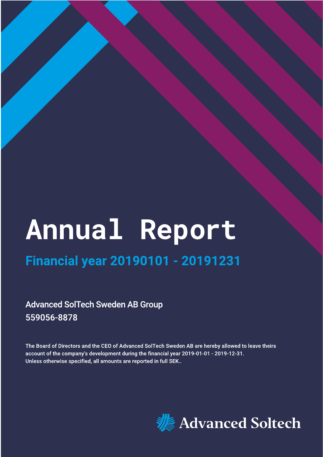# Annual Report

# **Financial year 20190101 - 20191231**

**Advanced SolTech Sweden AB Group** 559056-8878

The Board of Directors and the CEO of Advanced SolTech Sweden AB are hereby allowed to leave theirs account of the company's development during the financial year 2019-01-01 - 2019-12-31. Unless otherwise specified, all amounts are reported in full SEK..

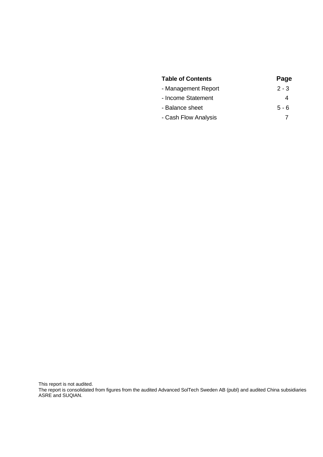| <b>Table of Contents</b> | Page    |
|--------------------------|---------|
| - Management Report      | $2 - 3$ |
| - Income Statement       | 4       |
| - Balance sheet          | $5 - 6$ |
| - Cash Flow Analysis     |         |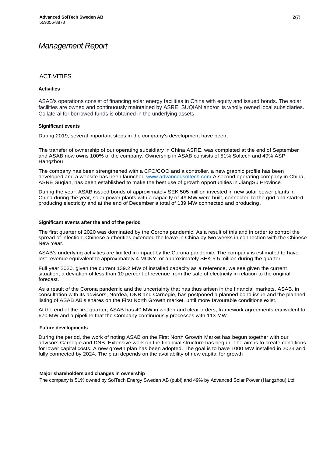## *Management Report*

#### **ACTIVITIES**

#### **Activities**

ASAB's operations consist of financing solar energy facilities in China with equity and issued bonds. The solar facilities are owned and continuously maintained by ASRE, SUQIAN and/or its wholly owned local subsidiaries. Collateral for borrowed funds is obtained in the underlying assets

#### **Significant events**

During 2019, several important steps in the company's development have been.

The transfer of ownership of our operating subsidiary in China ASRE, was completed at the end of September and ASAB now owns 100% of the company. Ownership in ASAB consists of 51% Soltech and 49% ASP Hangzhou

The company has been strengthened with a CFO/COO and a controller, a new graphic profile has been developed and a website has been launched [www.advancedsoltech.com](http://www.advancedsoltech.com/) A second operating company in China, ASRE Suqian, has been established to make the best use of growth opportunities in JiangSu Province.

During the year, ASAB issued bonds of approximately SEK 505 million invested in new solar power plants in China during the year, solar power plants with a capacity of 49 MW were built, connected to the grid and started producing electricity and at the end of December a total of 139 MW connected and producing.

#### **Significant events after the end of the period**

The first quarter of 2020 was dominated by the Corona pandemic. As a result of this and in order to control the spread of infection, Chinese authorities extended the leave in China by two weeks in connection with the Chinese New Year.

ASAB's underlying activities are limited in impact by the Corona pandemic. The company is estimated to have lost revenue equivalent to approximately 4 MCNY, or approximately SEK 5.5 million during the quarter

Full year 2020, given the current 139.2 MW of installed capacity as a reference, we see given the current situation, a deviation of less than 10 percent of revenue from the sale of electricity in relation to the original forecast.

As a result of the Corona pandemic and the uncertainty that has thus arisen in the financial markets, ASAB, in consultation with its advisors, Nordea, DNB and Carnegie, has postponed a planned bond issue and the planned listing of ASAB AB's shares on the First North Growth market, until more favourable conditions exist.

At the end of the first quarter, ASAB has 40 MW in written and clear orders, framework agreements equivalent to 670 MW and a pipeline that the Company continuously processes with 113 MW.

#### **Future developments**

During the period, the work of noting ASAB on the First North Growth Market has begun together with our advisors Carnegie and DNB. Extensive work on the financial structure has begun. The aim is to create conditions for lower capital costs. A new growth plan has been adopted. The goal is to have 1000 MW installed in 2023 and fully connected by 2024. The plan depends on the availability of new capital for growth

#### **Major shareholders and changes in ownership**

The company is 51% owned by SolTech Energy Sweden AB (publ) and 49% by Advanced Solar Power (Hangzhou) Ltd.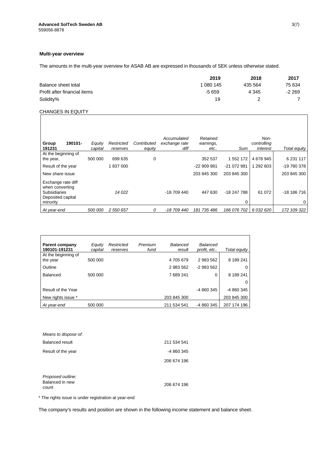#### **Multi-year overview**

The amounts in the multi-year overview for ASAB AB are expressed in thousands of SEK unless otherwise stated.

|                              | 2019      | 2018    | 2017   |
|------------------------------|-----------|---------|--------|
| Balance sheet total          | 1 080 145 | 435 564 | 75 634 |
| Profit after financial items | -5 659    | 4 3 4 5 | -2 269 |
| Solidity%                    | 19        |         |        |

#### CHANGES IN EQUITY

| 190101-<br>Group<br>191231                                                                    | Equity<br>capital | Restricted<br>reserves | Contributed<br>equity | Accumulated<br>exchange rate<br>diff | Retained<br>earnings,<br>etc | Sum              | Non-<br>controlling<br>interest | Total equity     |
|-----------------------------------------------------------------------------------------------|-------------------|------------------------|-----------------------|--------------------------------------|------------------------------|------------------|---------------------------------|------------------|
| At the beginning of<br>the year,                                                              | 500 000           | 699 635                | 0                     |                                      | 352 537                      | 1 552 172        | 4 678 945                       | 6 231 117        |
| Result of the year                                                                            |                   | 1837000                |                       |                                      | -22 909 981                  | -21 072 981      | 292 603                         | -19 780 378      |
| New share issue                                                                               |                   |                        |                       |                                      | 203 845 300                  | 203 845 300      |                                 | 203 845 300      |
| Exchange rate diff<br>when converting<br><b>Subsidiaries</b><br>Deposited capital<br>minority |                   | 14 0 22                |                       | -18 709 440                          | 447 630                      | -18 247 788<br>0 | 61 072                          | $-18186716$<br>0 |
| At year-end                                                                                   | 500 000           | 2 550 657              | 0                     | -18 709 440                          | 181 735 486                  | 166 076 702      | 6 032 620                       | 172 109 322      |

| <b>Parent company</b><br>190101-191231 | Equity<br>capital | Restricted<br>reserves | Premium<br>fund | Balanced<br>result | Balanced<br>profit. etc | Total equity |
|----------------------------------------|-------------------|------------------------|-----------------|--------------------|-------------------------|--------------|
| At the beginning of<br>the year        | 500 000           |                        |                 | 4705679            | 2 983 562               | 8 189 241    |
| Outline                                |                   |                        |                 | 2 983 562          | $-2983562$              | O            |
| Balanced                               | 500 000           |                        |                 | 7689241            | 0                       | 8 189 241    |
|                                        |                   |                        |                 |                    |                         | O            |
| Result of the Year                     |                   |                        |                 |                    | -4 860 345              | -4 860 345   |
| New rights issue *                     |                   |                        |                 | 203 845 300        |                         | 203 845 300  |
| At vear-end                            | 500 000           |                        |                 | 211 534 541        | -4 860 345              | 207 174 196  |

| Means to dispose of:     |             |
|--------------------------|-------------|
| <b>Balanced result</b>   | 211 534 541 |
| Result of the year       | -4 860 345  |
|                          | 206 674 196 |
| Proposed outline:        |             |
| Balanced in new<br>count | 206 674 196 |

\* The rights issue is under registration at year-end

The company's results and position are shown in the following income statement and balance sheet.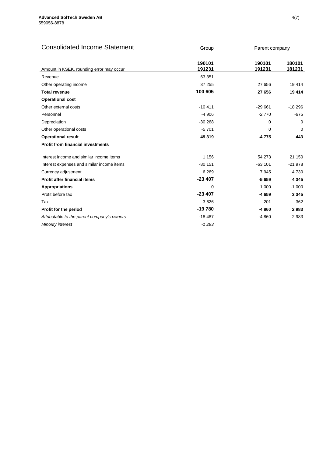| <b>Consolidated Income Statement</b>        | Group            | Parent company   |                  |
|---------------------------------------------|------------------|------------------|------------------|
|                                             |                  |                  |                  |
| Amount in KSEK, rounding error may occur    | 190101<br>191231 | 190101<br>191231 | 180101<br>181231 |
| Revenue                                     | 63 351           |                  |                  |
| Other operating income                      | 37 255           | 27 656           | 19 4 14          |
| <b>Total revenue</b>                        | 100 605          | 27 656           | 19414            |
| <b>Operational cost</b>                     |                  |                  |                  |
| Other external costs                        | $-10411$         | $-29661$         | $-18296$         |
| Personnel                                   | $-4906$          | $-2770$          | $-675$           |
| Depreciation                                | $-30268$         | 0                | 0                |
| Other operational costs                     | $-5701$          | 0                | $\Omega$         |
| <b>Operational result</b>                   | 49 319           | $-4775$          | 443              |
| <b>Profit from financial investments</b>    |                  |                  |                  |
| Interest income and similar income items    | 1 1 5 6          | 54 273           | 21 150           |
| Interest expenses and similar income items  | $-80$ 151        | $-63101$         | $-21978$         |
| Currency adjustment                         | 6 2 6 9          | 7945             | 4730             |
| <b>Profit after financial items</b>         | $-23407$         | $-5659$          | 4 3 4 5          |
| <b>Appropriations</b>                       | 0                | 1 0 0 0          | $-1000$          |
| Profit before tax                           | $-23407$         | -4 659           | 3 3 4 5          |
| Tax                                         | 3626             | $-201$           | $-362$           |
| Profit for the period                       | $-19780$         | -4 860           | 2983             |
| Attributable to the parent company's owners | $-18487$         | $-4860$          | 2983             |
| Minority interest                           | $-1293$          |                  |                  |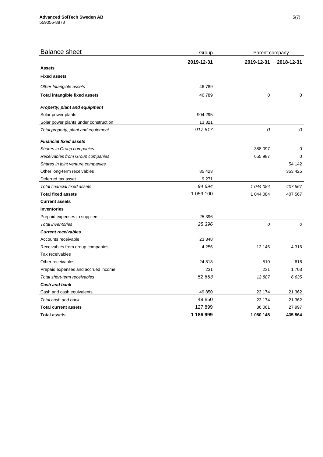| <b>Balance sheet</b>                  | Group      | Parent company |             |
|---------------------------------------|------------|----------------|-------------|
|                                       | 2019-12-31 | 2019-12-31     | 2018-12-31  |
| <b>Assets</b>                         |            |                |             |
| <b>Fixed assets</b>                   |            |                |             |
| Other Intangible assets               | 46789      |                |             |
| Total intangible fixed assets         | 46789      | $\pmb{0}$      | $\mathbf 0$ |
| Property, plant and equipment         |            |                |             |
| Solar power plants                    | 904 295    |                |             |
| Solar power plants under construction | 13 3 21    |                |             |
| Total property, plant and equipment   | 917617     | 0              | 0           |
| <b>Financial fixed assets</b>         |            |                |             |
| Shares in Group companies             |            | 388 097        | 0           |
| Receivables from Group companies      |            | 655 987        | $\Omega$    |
| Shares in joint venture companies     |            |                | 54 142      |
| Other long-term receivables           | 85 4 23    |                | 353 425     |
| Deferred tax asset                    | 9 2 7 1    |                |             |
| Total financial fixed assets          | 94 694     | 1 044 084      | 407 567     |
| <b>Total fixed assets</b>             | 1 059 100  | 1 044 084      | 407 567     |
| <b>Current assets</b>                 |            |                |             |
| <b>Inventories</b>                    |            |                |             |
| Prepaid expenses to suppliers         | 25 396     |                |             |
| <b>Total inventories</b>              | 25 396     | 0              | 0           |
| <b>Current receivables</b>            |            |                |             |
| Accounts receivable                   | 23 348     |                |             |
| Receivables from group companies      | 4 2 5 6    | 12 14 6        | 4 3 1 6     |
| Tax receivables                       |            |                |             |
| Other receivables                     | 24 8 18    | 510            | 616         |
| Prepaid expenses and accrued income   | 231        | 231            | 1703        |
| Total short-term receivables          | 52 653     | 12 887         | 6635        |
| <b>Cash and bank</b>                  |            |                |             |
| Cash and cash equivalents             | 49 850     | 23 174         | 21 362      |
| Total cash and bank                   | 49 850     | 23 174         | 21 362      |
| <b>Total current assets</b>           | 127 899    | 36 061         | 27 997      |
| <b>Total assets</b>                   | 1 186 999  | 1 080 145      | 435 564     |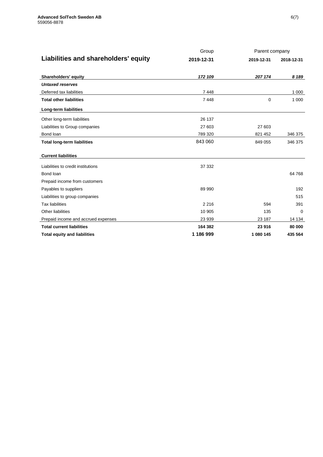|                                      | Group      | Parent company |            |  |
|--------------------------------------|------------|----------------|------------|--|
| Liabilities and shareholders' equity | 2019-12-31 | 2019-12-31     | 2018-12-31 |  |
| <b>Shareholders' equity</b>          | 172 109    | 207 174        | 8 1 8 9    |  |
| <b>Untaxed reserves</b>              |            |                |            |  |
| Deferred tax liabilities             | 7448       |                | 1 0 0 0    |  |
| <b>Total other liabilities</b>       | 7448       | $\Omega$       | 1 0 0 0    |  |
| Long-term liabilities                |            |                |            |  |
| Other long-term liabilities          | 26 137     |                |            |  |
| Liabilities to Group companies       | 27 603     | 27 603         |            |  |
| Bond loan                            | 789 320    | 821 452        | 346 375    |  |
| <b>Total long-term liabilities</b>   | 843 060    | 849 055        | 346 375    |  |
| <b>Current liabilities</b>           |            |                |            |  |
| Liabilities to credit institutions   | 37 332     |                |            |  |
| Bond loan                            |            |                | 64 768     |  |
| Prepaid income from customers        |            |                |            |  |
| Payables to suppliers                | 89 990     |                | 192        |  |
| Liabilities to group companies       |            |                | 515        |  |
| <b>Tax liabilities</b>               | 2 2 1 6    | 594            | 391        |  |
| <b>Other liabilities</b>             | 10 905     | 135            | $\Omega$   |  |
| Prepaid income and accrued expenses  | 23 939     | 23 187         | 14 134     |  |
| <b>Total current liabilities</b>     | 164 382    | 23 916         | 80 000     |  |
| <b>Total equity and liabilities</b>  | 1 186 999  | 1 080 145      | 435 564    |  |